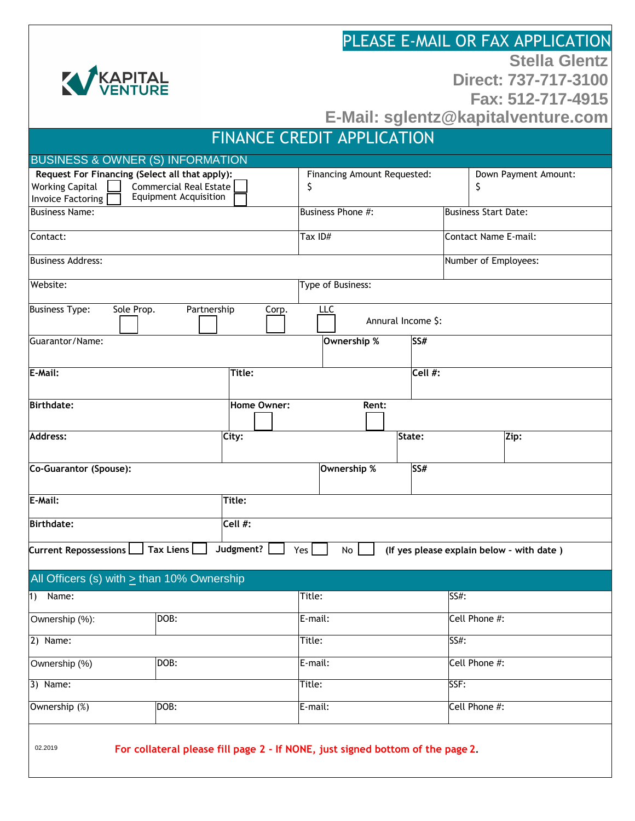|                                                                                                                                                                       |           | PLEASE E-MAIL OR FAX APPLICATION          |                      |  |        |      |                             |                                           |  |
|-----------------------------------------------------------------------------------------------------------------------------------------------------------------------|-----------|-------------------------------------------|----------------------|--|--------|------|-----------------------------|-------------------------------------------|--|
|                                                                                                                                                                       |           |                                           | <b>Stella Glentz</b> |  |        |      |                             |                                           |  |
| KAPITAL                                                                                                                                                               |           | Direct: 737-717-3100<br>Fax: 512-717-4915 |                      |  |        |      |                             |                                           |  |
|                                                                                                                                                                       |           | E-Mail: sglentz@kapitalventure.com        |                      |  |        |      |                             |                                           |  |
| <b>FINANCE CREDIT APPLICATION</b>                                                                                                                                     |           |                                           |                      |  |        |      |                             |                                           |  |
| <b>BUSINESS &amp; OWNER (S) INFORMATION</b>                                                                                                                           |           |                                           |                      |  |        |      |                             |                                           |  |
| Request For Financing (Select all that apply):<br><b>Working Capital</b><br><b>Commercial Real Estate</b><br><b>Equipment Acquisition</b><br><b>Invoice Factoring</b> |           | Financing Amount Requested:<br>\$         |                      |  |        |      | \$                          | Down Payment Amount:                      |  |
| <b>Business Name:</b>                                                                                                                                                 |           | Business Phone #:                         |                      |  |        |      | <b>Business Start Date:</b> |                                           |  |
| Contact:                                                                                                                                                              |           | Tax ID#                                   |                      |  |        |      |                             | <b>Contact Name E-mail:</b>               |  |
| <b>Business Address:</b>                                                                                                                                              |           |                                           |                      |  |        |      | Number of Employees:        |                                           |  |
| Website:                                                                                                                                                              |           | Type of Business:                         |                      |  |        |      |                             |                                           |  |
| Partnership<br><b>Business Type:</b><br>Sole Prop.<br>Corp.<br>LLC<br>Annural Income \$:                                                                              |           |                                           |                      |  |        |      |                             |                                           |  |
| Guarantor/Name:                                                                                                                                                       |           |                                           | Ownership %<br>SS#   |  |        |      |                             |                                           |  |
| E-Mail:<br>Title:                                                                                                                                                     |           |                                           | $\overline{Cell}$ #: |  |        |      |                             |                                           |  |
| <b>Birthdate:</b>                                                                                                                                                     |           | Rent:                                     |                      |  |        |      |                             |                                           |  |
| Address:                                                                                                                                                              | City:     |                                           |                      |  | State: |      |                             | Zip:                                      |  |
| Co-Guarantor (Spouse):                                                                                                                                                |           |                                           | SS#<br>Ownership %   |  |        |      |                             |                                           |  |
| E-Mail:                                                                                                                                                               | Title:    |                                           |                      |  |        |      |                             |                                           |  |
| <b>Birthdate:</b>                                                                                                                                                     | Cell #:   |                                           |                      |  |        |      |                             |                                           |  |
| Tax Liens<br>Current Repossessions L                                                                                                                                  | Judgment? | Yes                                       | No                   |  |        |      |                             | (If yes please explain below - with date) |  |
| All Officers (s) with > than 10% Ownership                                                                                                                            |           |                                           |                      |  |        |      |                             |                                           |  |
| Name:<br>1)                                                                                                                                                           |           | Title:                                    |                      |  |        | SS#: |                             |                                           |  |
| DOB:<br>Ownership (%):                                                                                                                                                |           | E-mail:                                   |                      |  |        |      | Cell Phone #:               |                                           |  |
| $2)$ Name:                                                                                                                                                            |           | Title:                                    |                      |  |        |      | SS#:                        |                                           |  |
| DOB:<br>Ownership (%)                                                                                                                                                 |           | E-mail:                                   |                      |  |        |      | Cell Phone #:               |                                           |  |
| $3)$ Name:                                                                                                                                                            |           |                                           | Title:               |  |        |      | SSF:                        |                                           |  |
| Ownership (%)<br>DOB:                                                                                                                                                 |           |                                           | E-mail:              |  |        |      | Cell Phone #:               |                                           |  |
| 02.2019<br>For collateral please fill page 2 - If NONE, just signed bottom of the page 2.                                                                             |           |                                           |                      |  |        |      |                             |                                           |  |